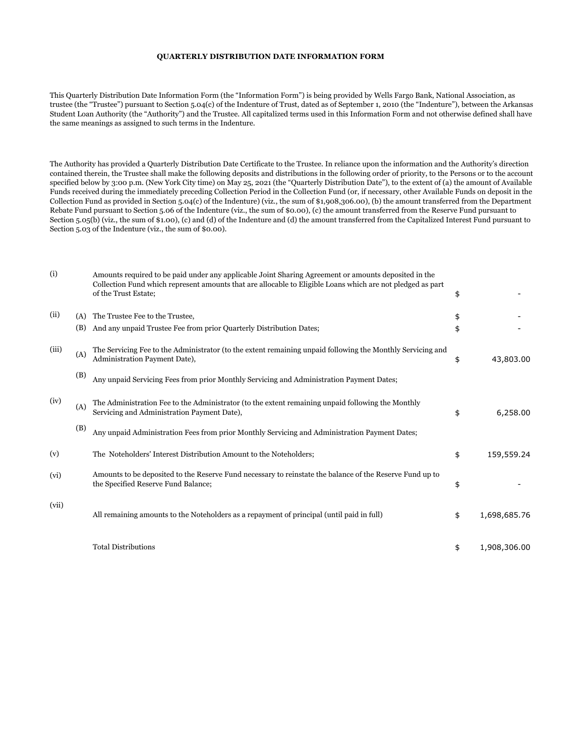## **QUARTERLY DISTRIBUTION DATE INFORMATION FORM**

This Quarterly Distribution Date Information Form (the "Information Form") is being provided by Wells Fargo Bank, National Association, as trustee (the "Trustee") pursuant to Section 5.04(c) of the Indenture of Trust, dated as of September 1, 2010 (the "Indenture"), between the Arkansas Student Loan Authority (the "Authority") and the Trustee. All capitalized terms used in this Information Form and not otherwise defined shall have the same meanings as assigned to such terms in the Indenture.

The Authority has provided a Quarterly Distribution Date Certificate to the Trustee. In reliance upon the information and the Authority's direction contained therein, the Trustee shall make the following deposits and distributions in the following order of priority, to the Persons or to the account specified below by 3:00 p.m. (New York City time) on May 25, 2021 (the "Quarterly Distribution Date"), to the extent of (a) the amount of Available Funds received during the immediately preceding Collection Period in the Collection Fund (or, if necessary, other Available Funds on deposit in the Collection Fund as provided in Section 5.04(c) of the Indenture) (viz., the sum of \$1,908,306.00), (b) the amount transferred from the Department Rebate Fund pursuant to Section 5.06 of the Indenture (viz., the sum of \$0.00), (c) the amount transferred from the Reserve Fund pursuant to Section 5.05(b) (viz., the sum of \$1.00), (c) and (d) of the Indenture and (d) the amount transferred from the Capitalized Interest Fund pursuant to Section 5.03 of the Indenture (viz., the sum of \$0.00).

| (i)   |            | Amounts required to be paid under any applicable Joint Sharing Agreement or amounts deposited in the<br>Collection Fund which represent amounts that are allocable to Eligible Loans which are not pledged as part<br>of the Trust Estate; | \$       |              |
|-------|------------|--------------------------------------------------------------------------------------------------------------------------------------------------------------------------------------------------------------------------------------------|----------|--------------|
| (ii)  | (A)<br>(B) | The Trustee Fee to the Trustee,<br>And any unpaid Trustee Fee from prior Quarterly Distribution Dates;                                                                                                                                     | \$<br>\$ |              |
| (iii) | (A)        | The Servicing Fee to the Administrator (to the extent remaining unpaid following the Monthly Servicing and<br>Administration Payment Date),                                                                                                | \$       | 43,803.00    |
|       | (B)        | Any unpaid Servicing Fees from prior Monthly Servicing and Administration Payment Dates;                                                                                                                                                   |          |              |
| (iv)  | (A)        | The Administration Fee to the Administrator (to the extent remaining unpaid following the Monthly<br>Servicing and Administration Payment Date),                                                                                           | \$       | 6,258.00     |
|       | (B)        | Any unpaid Administration Fees from prior Monthly Servicing and Administration Payment Dates;                                                                                                                                              |          |              |
| (v)   |            | The Noteholders' Interest Distribution Amount to the Noteholders;                                                                                                                                                                          | \$       | 159,559.24   |
| (vi)  |            | Amounts to be deposited to the Reserve Fund necessary to reinstate the balance of the Reserve Fund up to<br>the Specified Reserve Fund Balance;                                                                                            | \$       |              |
| (vii) |            | All remaining amounts to the Noteholders as a repayment of principal (until paid in full)                                                                                                                                                  | \$       | 1,698,685.76 |
|       |            | <b>Total Distributions</b>                                                                                                                                                                                                                 | \$       | 1,908,306.00 |